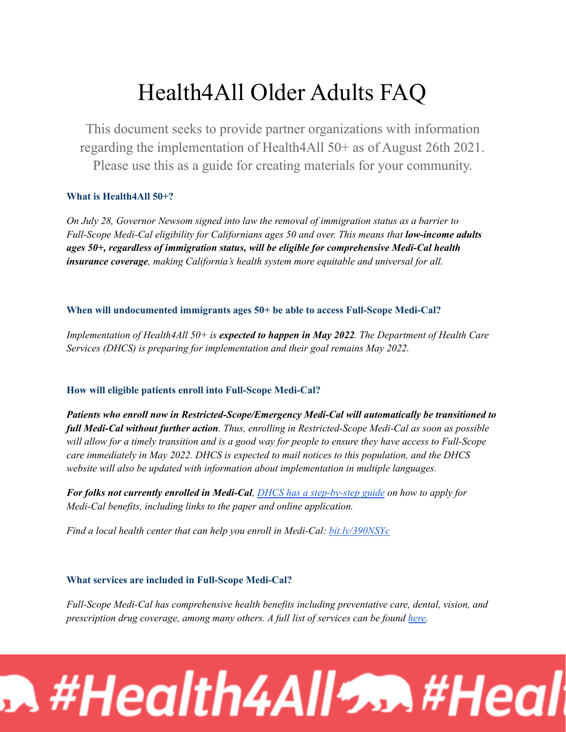# Health4All Older Adults FAQ

This document seeks to provide partner organizations with information regarding the implementation of Health4All 50+ as of August 26th 2021. Please use this as a guide for creating materials for your community.

# **What is Health4All 50+?**

*On July 28, Governor Newsom signed into law the removal of immigration status as a barrier to Full-Scope Medi-Cal eligibility for Californians ages 50 and over. This means that low-income adults ages 50+, regardless of immigration status, will be eligible for comprehensive Medi-Cal health insurance coverage, making California's health system more equitable and universal for all.*

## **When will undocumented immigrants ages 50+ be able to access Full-Scope Medi-Cal?**

*Implementation of Health4All 50+ is expected to happen in May 2022. The Department of Health Care Services (DHCS) is preparing for implementation and their goal remains May 2022.*

## **How will eligible patients enroll into Full-Scope Medi-Cal?**

*Patients who enroll now in Restricted-Scope/Emergency Medi-Cal will automatically be transitioned to full Medi-Cal without further action. Thus, enrolling in Restricted-Scope Medi-Cal as soon as possible* will allow for a timely transition and is a good way for people to ensure they have access to Full-Scope *care immediately in May 2022. DHCS is expected to mail notices to this population, and the DHCS website will also be updated with information about implementation in multiple languages.*

*For folks not currently enrolled in Medi-Cal, DHCS has a [step-by-step](https://www.dhcs.ca.gov/services/medi-cal/pages/applyformedi-cal.aspx) guide on how to apply for Medi-Cal benefits, including links to the paper and online application.*

*Find a local health center that can help you enroll in Medi-Cal: [bit.ly/390NSYc](http://bit.ly/390NSYc)*

# **What services are included in Full-Scope Medi-Cal?**

*Full-Scope Medi-Cal has comprehensive health benefits including preventative care, dental, vision, and prescription drug coverage, among many others. A full list of services can be found [here.](https://www.dhcs.ca.gov/services/medi-cal/Pages/Medi-Cal_EHB_Benefits.aspx)*

# $\bullet$  #Health4All% $\bullet$  #Heal